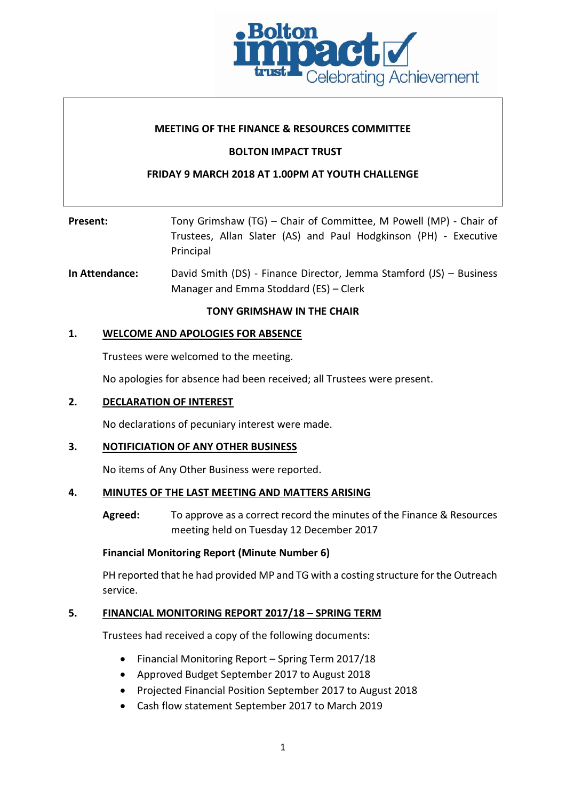

### **MEETING OF THE FINANCE & RESOURCES COMMITTEE**

### **BOLTON IMPACT TRUST**

### **FRIDAY 9 MARCH 2018 AT 1.00PM AT YOUTH CHALLENGE**

| <b>Present:</b> | Tony Grimshaw (TG) – Chair of Committee, M Powell (MP) - Chair of             |
|-----------------|-------------------------------------------------------------------------------|
|                 | Trustees, Allan Slater (AS) and Paul Hodgkinson (PH) - Executive<br>Principal |

**In Attendance:** David Smith (DS) - Finance Director, Jemma Stamford (JS) – Business Manager and Emma Stoddard (ES) – Clerk

### **TONY GRIMSHAW IN THE CHAIR**

### **1. WELCOME AND APOLOGIES FOR ABSENCE**

Trustees were welcomed to the meeting.

No apologies for absence had been received; all Trustees were present.

### **2. DECLARATION OF INTEREST**

No declarations of pecuniary interest were made.

### **3. NOTIFICIATION OF ANY OTHER BUSINESS**

No items of Any Other Business were reported.

### **4. MINUTES OF THE LAST MEETING AND MATTERS ARISING**

**Agreed:** To approve as a correct record the minutes of the Finance & Resources meeting held on Tuesday 12 December 2017

### **Financial Monitoring Report (Minute Number 6)**

PH reported that he had provided MP and TG with a costing structure for the Outreach service.

### **5. FINANCIAL MONITORING REPORT 2017/18 – SPRING TERM**

Trustees had received a copy of the following documents:

- Financial Monitoring Report Spring Term 2017/18
- Approved Budget September 2017 to August 2018
- Projected Financial Position September 2017 to August 2018
- Cash flow statement September 2017 to March 2019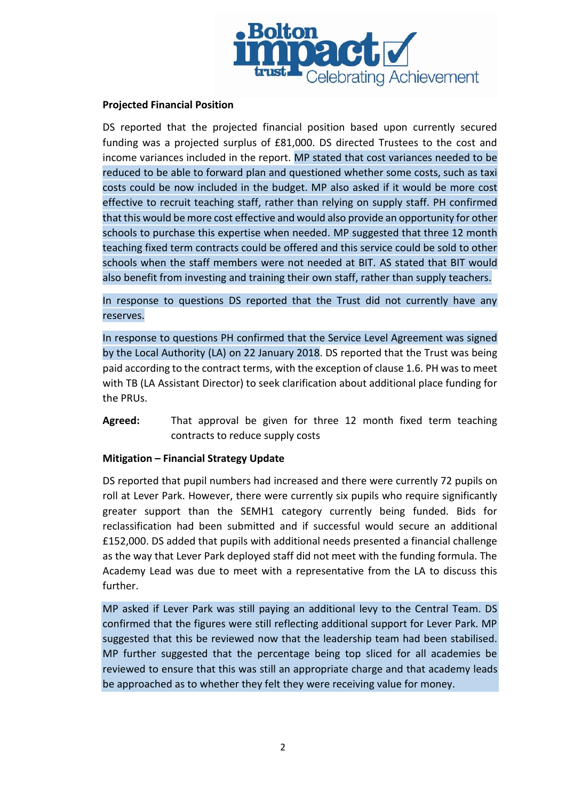

### **Projected Financial Position**

DS reported that the projected financial position based upon currently secured funding was a projected surplus of £81,000. DS directed Trustees to the cost and income variances included in the report. MP stated that cost variances needed to be reduced to be able to forward plan and questioned whether some costs, such as taxi costs could be now included in the budget. MP also asked if it would be more cost effective to recruit teaching staff, rather than relying on supply staff. PH confirmed that this would be more cost effective and would also provide an opportunity for other schools to purchase this expertise when needed. MP suggested that three 12 month teaching fixed term contracts could be offered and this service could be sold to other schools when the staff members were not needed at BIT. AS stated that BIT would also benefit from investing and training their own staff, rather than supply teachers.

In response to questions DS reported that the Trust did not currently have any reserves.

In response to questions PH confirmed that the Service Level Agreement was signed by the Local Authority (LA) on 22 January 2018. DS reported that the Trust was being paid according to the contract terms, with the exception of clause 1.6. PH was to meet with TB (LA Assistant Director) to seek clarification about additional place funding for the PRUs.

**Agreed:** That approval be given for three 12 month fixed term teaching contracts to reduce supply costs

### **Mitigation – Financial Strategy Update**

DS reported that pupil numbers had increased and there were currently 72 pupils on roll at Lever Park. However, there were currently six pupils who require significantly greater support than the SEMH1 category currently being funded. Bids for reclassification had been submitted and if successful would secure an additional £152,000. DS added that pupils with additional needs presented a financial challenge as the way that Lever Park deployed staff did not meet with the funding formula. The Academy Lead was due to meet with a representative from the LA to discuss this further.

MP asked if Lever Park was still paying an additional levy to the Central Team. DS confirmed that the figures were still reflecting additional support for Lever Park. MP suggested that this be reviewed now that the leadership team had been stabilised. MP further suggested that the percentage being top sliced for all academies be reviewed to ensure that this was still an appropriate charge and that academy leads be approached as to whether they felt they were receiving value for money.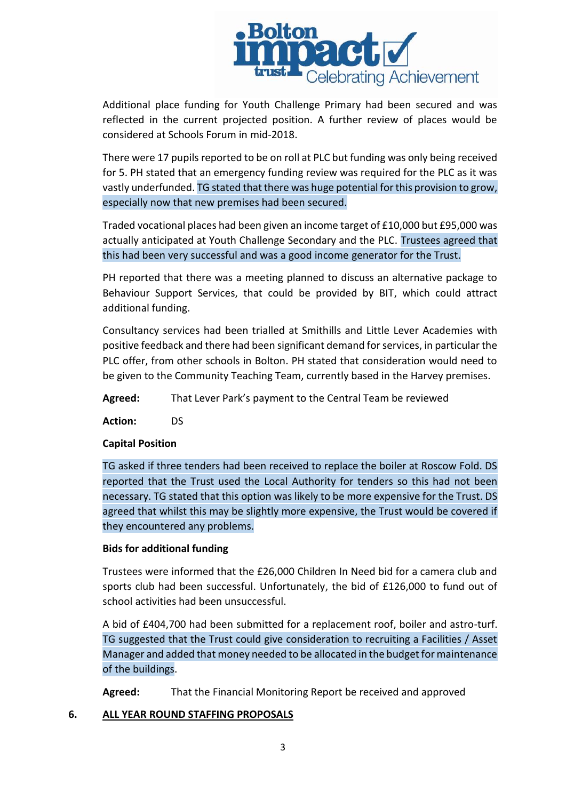

Additional place funding for Youth Challenge Primary had been secured and was reflected in the current projected position. A further review of places would be considered at Schools Forum in mid-2018.

There were 17 pupils reported to be on roll at PLC but funding was only being received for 5. PH stated that an emergency funding review was required for the PLC as it was vastly underfunded. TG stated that there was huge potential for this provision to grow, especially now that new premises had been secured.

Traded vocational places had been given an income target of £10,000 but £95,000 was actually anticipated at Youth Challenge Secondary and the PLC. Trustees agreed that this had been very successful and was a good income generator for the Trust.

PH reported that there was a meeting planned to discuss an alternative package to Behaviour Support Services, that could be provided by BIT, which could attract additional funding.

Consultancy services had been trialled at Smithills and Little Lever Academies with positive feedback and there had been significant demand for services, in particular the PLC offer, from other schools in Bolton. PH stated that consideration would need to be given to the Community Teaching Team, currently based in the Harvey premises.

**Agreed:** That Lever Park's payment to the Central Team be reviewed

**Action:** DS

# **Capital Position**

TG asked if three tenders had been received to replace the boiler at Roscow Fold. DS reported that the Trust used the Local Authority for tenders so this had not been necessary. TG stated that this option was likely to be more expensive for the Trust. DS agreed that whilst this may be slightly more expensive, the Trust would be covered if they encountered any problems.

# **Bids for additional funding**

Trustees were informed that the £26,000 Children In Need bid for a camera club and sports club had been successful. Unfortunately, the bid of £126,000 to fund out of school activities had been unsuccessful.

A bid of £404,700 had been submitted for a replacement roof, boiler and astro-turf. TG suggested that the Trust could give consideration to recruiting a Facilities / Asset Manager and added that money needed to be allocated in the budget for maintenance of the buildings.

**Agreed:** That the Financial Monitoring Report be received and approved

# **6. ALL YEAR ROUND STAFFING PROPOSALS**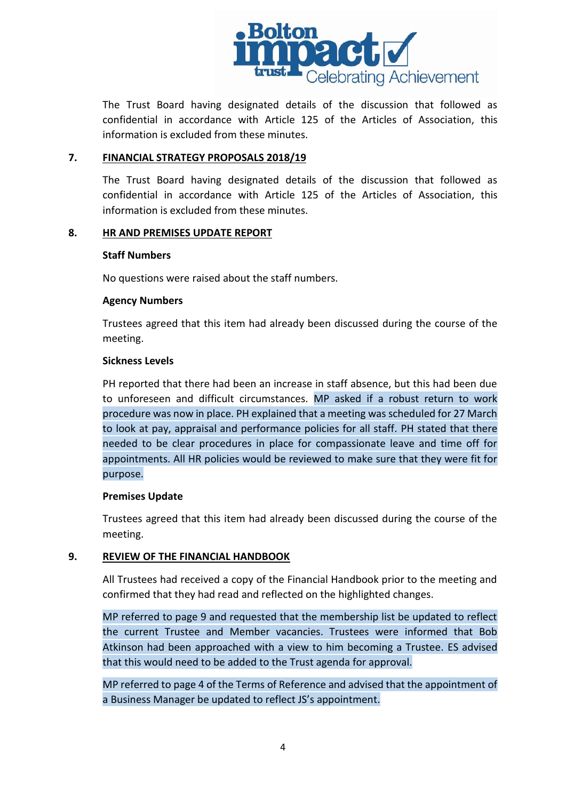

The Trust Board having designated details of the discussion that followed as confidential in accordance with Article 125 of the Articles of Association, this information is excluded from these minutes.

### **7. FINANCIAL STRATEGY PROPOSALS 2018/19**

The Trust Board having designated details of the discussion that followed as confidential in accordance with Article 125 of the Articles of Association, this information is excluded from these minutes.

### **8. HR AND PREMISES UPDATE REPORT**

### **Staff Numbers**

No questions were raised about the staff numbers.

### **Agency Numbers**

Trustees agreed that this item had already been discussed during the course of the meeting.

### **Sickness Levels**

PH reported that there had been an increase in staff absence, but this had been due to unforeseen and difficult circumstances. MP asked if a robust return to work procedure was now in place. PH explained that a meeting was scheduled for 27 March to look at pay, appraisal and performance policies for all staff. PH stated that there needed to be clear procedures in place for compassionate leave and time off for appointments. All HR policies would be reviewed to make sure that they were fit for purpose.

#### **Premises Update**

Trustees agreed that this item had already been discussed during the course of the meeting.

### **9. REVIEW OF THE FINANCIAL HANDBOOK**

All Trustees had received a copy of the Financial Handbook prior to the meeting and confirmed that they had read and reflected on the highlighted changes.

MP referred to page 9 and requested that the membership list be updated to reflect the current Trustee and Member vacancies. Trustees were informed that Bob Atkinson had been approached with a view to him becoming a Trustee. ES advised that this would need to be added to the Trust agenda for approval.

MP referred to page 4 of the Terms of Reference and advised that the appointment of a Business Manager be updated to reflect JS's appointment.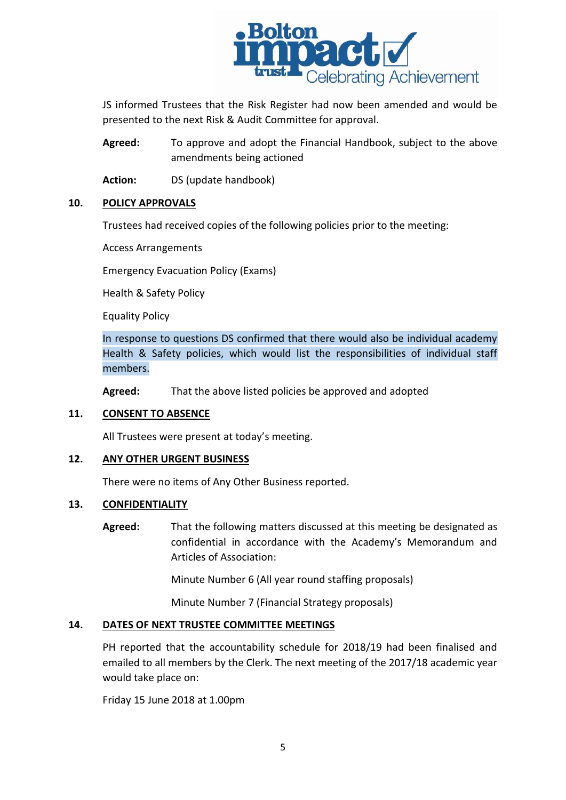

JS informed Trustees that the Risk Register had now been amended and would be presented to the next Risk & Audit Committee for approval.

**Agreed:** To approve and adopt the Financial Handbook, subject to the above amendments being actioned

**Action:** DS (update handbook)

### **10. POLICY APPROVALS**

Trustees had received copies of the following policies prior to the meeting:

Access Arrangements

Emergency Evacuation Policy (Exams)

Health & Safety Policy

Equality Policy

In response to questions DS confirmed that there would also be individual academy Health & Safety policies, which would list the responsibilities of individual staff members.

**Agreed:** That the above listed policies be approved and adopted

### **11. CONSENT TO ABSENCE**

All Trustees were present at today's meeting.

### **12. ANY OTHER URGENT BUSINESS**

There were no items of Any Other Business reported.

### **13. CONFIDENTIALITY**

**Agreed:** That the following matters discussed at this meeting be designated as confidential in accordance with the Academy's Memorandum and Articles of Association:

Minute Number 6 (All year round staffing proposals)

Minute Number 7 (Financial Strategy proposals)

# **14. DATES OF NEXT TRUSTEE COMMITTEE MEETINGS**

PH reported that the accountability schedule for 2018/19 had been finalised and emailed to all members by the Clerk. The next meeting of the 2017/18 academic year would take place on:

Friday 15 June 2018 at 1.00pm